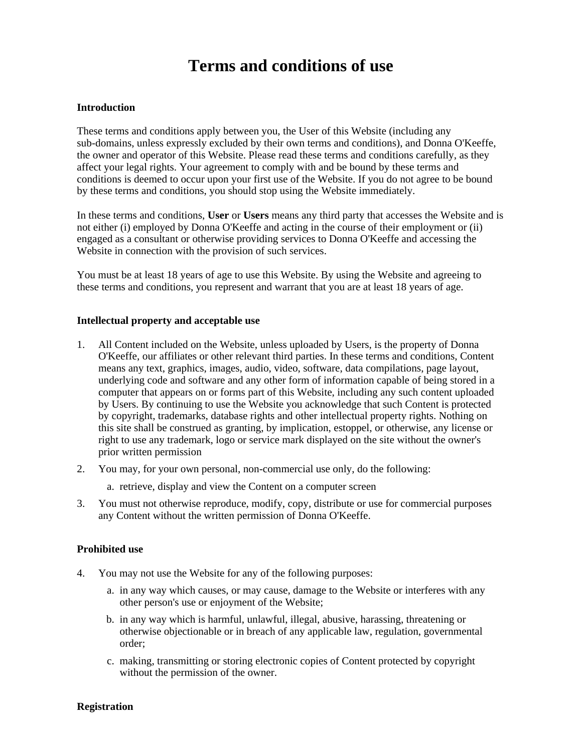# **Terms and conditions of use**

### **Introduction**

These terms and conditions apply between you, the User of this Website (including any sub-domains, unless expressly excluded by their own terms and conditions), and Donna O'Keeffe, the owner and operator of this Website. Please read these terms and conditions carefully, as they affect your legal rights. Your agreement to comply with and be bound by these terms and conditions is deemed to occur upon your first use of the Website. If you do not agree to be bound by these terms and conditions, you should stop using the Website immediately.

In these terms and conditions, **User** or **Users** means any third party that accesses the Website and is not either (i) employed by Donna O'Keeffe and acting in the course of their employment or (ii) engaged as a consultant or otherwise providing services to Donna O'Keeffe and accessing the Website in connection with the provision of such services.

You must be at least 18 years of age to use this Website. By using the Website and agreeing to these terms and conditions, you represent and warrant that you are at least 18 years of age.

#### **Intellectual property and acceptable use**

- 1. All Content included on the Website, unless uploaded by Users, is the property of Donna O'Keeffe, our affiliates or other relevant third parties. In these terms and conditions, Content means any text, graphics, images, audio, video, software, data compilations, page layout, underlying code and software and any other form of information capable of being stored in a computer that appears on or forms part of this Website, including any such content uploaded by Users. By continuing to use the Website you acknowledge that such Content is protected by copyright, trademarks, database rights and other intellectual property rights. Nothing on this site shall be construed as granting, by implication, estoppel, or otherwise, any license or right to use any trademark, logo or service mark displayed on the site without the owner's prior written permission
- 2. You may, for your own personal, non-commercial use only, do the following:
	- a. retrieve, display and view the Content on a computer screen
- 3. You must not otherwise reproduce, modify, copy, distribute or use for commercial purposes any Content without the written permission of Donna O'Keeffe.

### **Prohibited use**

- 4. You may not use the Website for any of the following purposes:
	- a. in any way which causes, or may cause, damage to the Website or interferes with any other person's use or enjoyment of the Website;
	- b. in any way which is harmful, unlawful, illegal, abusive, harassing, threatening or otherwise objectionable or in breach of any applicable law, regulation, governmental order;
	- c. making, transmitting or storing electronic copies of Content protected by copyright without the permission of the owner.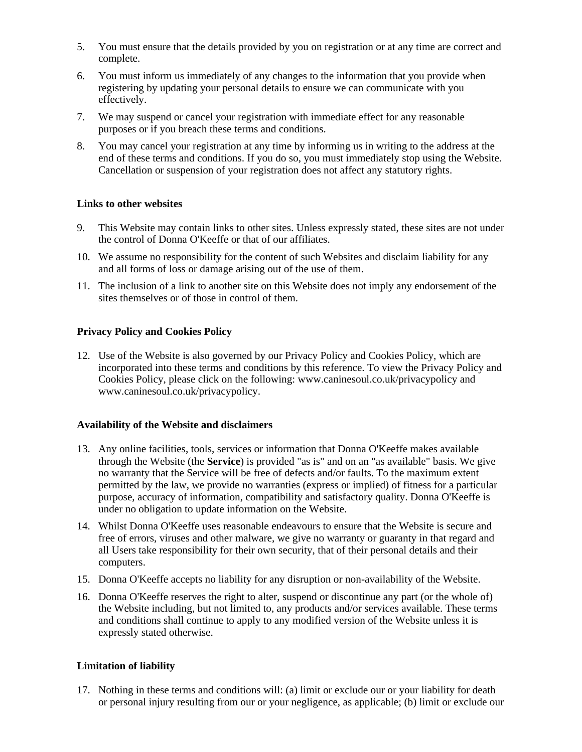- 5. You must ensure that the details provided by you on registration or at any time are correct and complete.
- 6. You must inform us immediately of any changes to the information that you provide when registering by updating your personal details to ensure we can communicate with you effectively.
- 7. We may suspend or cancel your registration with immediate effect for any reasonable purposes or if you breach these terms and conditions.
- 8. You may cancel your registration at any time by informing us in writing to the address at the end of these terms and conditions. If you do so, you must immediately stop using the Website. Cancellation or suspension of your registration does not affect any statutory rights.

# **Links to other websites**

- 9. This Website may contain links to other sites. Unless expressly stated, these sites are not under the control of Donna O'Keeffe or that of our affiliates.
- 10. We assume no responsibility for the content of such Websites and disclaim liability for any and all forms of loss or damage arising out of the use of them.
- 11. The inclusion of a link to another site on this Website does not imply any endorsement of the sites themselves or of those in control of them.

# **Privacy Policy and Cookies Policy**

12. Use of the Website is also governed by our Privacy Policy and Cookies Policy, which are incorporated into these terms and conditions by this reference. To view the Privacy Policy and Cookies Policy, please click on the following: www.caninesoul.co.uk/privacypolicy and www.caninesoul.co.uk/privacypolicy.

## **Availability of the Website and disclaimers**

- 13. Any online facilities, tools, services or information that Donna O'Keeffe makes available through the Website (the **Service**) is provided "as is" and on an "as available" basis. We give no warranty that the Service will be free of defects and/or faults. To the maximum extent permitted by the law, we provide no warranties (express or implied) of fitness for a particular purpose, accuracy of information, compatibility and satisfactory quality. Donna O'Keeffe is under no obligation to update information on the Website.
- 14. Whilst Donna O'Keeffe uses reasonable endeavours to ensure that the Website is secure and free of errors, viruses and other malware, we give no warranty or guaranty in that regard and all Users take responsibility for their own security, that of their personal details and their computers.
- 15. Donna O'Keeffe accepts no liability for any disruption or non-availability of the Website.
- 16. Donna O'Keeffe reserves the right to alter, suspend or discontinue any part (or the whole of) the Website including, but not limited to, any products and/or services available. These terms and conditions shall continue to apply to any modified version of the Website unless it is expressly stated otherwise.

# **Limitation of liability**

17. Nothing in these terms and conditions will: (a) limit or exclude our or your liability for death or personal injury resulting from our or your negligence, as applicable; (b) limit or exclude our